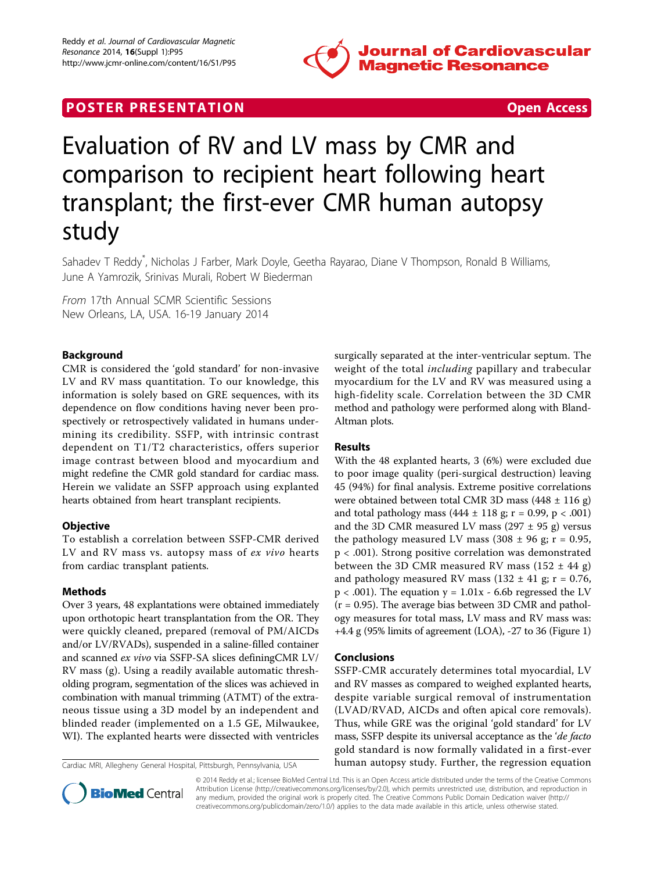

### **POSTER PRESENTATION CONSUMING THE SECOND CONSUMING THE SECOND CONSUMING THE SECOND CONSUMING THE SECOND CONSUMING THE SECOND CONSUMING THE SECOND CONSUMING THE SECOND CONSUMING THE SECOND CONSUMING THE SECOND CONSUMING**



# Evaluation of RV and LV mass by CMR and comparison to recipient heart following heart transplant; the first-ever CMR human autopsy study

Sahadev T Reddy<sup>\*</sup>, Nicholas J Farber, Mark Doyle, Geetha Rayarao, Diane V Thompson, Ronald B Williams, June A Yamrozik, Srinivas Murali, Robert W Biederman

From 17th Annual SCMR Scientific Sessions New Orleans, LA, USA. 16-19 January 2014

#### Background

CMR is considered the 'gold standard' for non-invasive LV and RV mass quantitation. To our knowledge, this information is solely based on GRE sequences, with its dependence on flow conditions having never been prospectively or retrospectively validated in humans undermining its credibility. SSFP, with intrinsic contrast dependent on T1/T2 characteristics, offers superior image contrast between blood and myocardium and might redefine the CMR gold standard for cardiac mass. Herein we validate an SSFP approach using explanted hearts obtained from heart transplant recipients.

#### **Objective**

To establish a correlation between SSFP-CMR derived LV and RV mass vs. autopsy mass of ex vivo hearts from cardiac transplant patients.

#### Methods

Over 3 years, 48 explantations were obtained immediately upon orthotopic heart transplantation from the OR. They were quickly cleaned, prepared (removal of PM/AICDs and/or LV/RVADs), suspended in a saline-filled container and scanned ex vivo via SSFP-SA slices definingCMR LV/ RV mass (g). Using a readily available automatic thresholding program, segmentation of the slices was achieved in combination with manual trimming (ATMT) of the extraneous tissue using a 3D model by an independent and blinded reader (implemented on a 1.5 GE, Milwaukee, WI). The explanted hearts were dissected with ventricles



#### Results

With the 48 explanted hearts, 3 (6%) were excluded due to poor image quality (peri-surgical destruction) leaving 45 (94%) for final analysis. Extreme positive correlations were obtained between total CMR 3D mass (448 ± 116 g) and total pathology mass  $(444 \pm 118 \text{ g}; r = 0.99, p < .001)$ and the 3D CMR measured LV mass (297  $\pm$  95 g) versus the pathology measured LV mass  $(308 \pm 96 \text{ g}; r = 0.95,$ p < .001). Strong positive correlation was demonstrated between the 3D CMR measured RV mass  $(152 \pm 44$  g) and pathology measured RV mass (132  $\pm$  41 g; r = 0.76,  $p < .001$ ). The equation  $y = 1.01x - 6.6b$  regressed the LV  $(r = 0.95)$ . The average bias between 3D CMR and pathology measures for total mass, LV mass and RV mass was: +4.4 g (95% limits of agreement (LOA), -27 to 36 (Figure [1](#page-1-0))

#### Conclusions

SSFP-CMR accurately determines total myocardial, LV and RV masses as compared to weighed explanted hearts, despite variable surgical removal of instrumentation (LVAD/RVAD, AICDs and often apical core removals). Thus, while GRE was the original 'gold standard' for LV mass, SSFP despite its universal acceptance as the '*de facto* gold standard is now formally validated in a first-ever Cardiac MRI, Allegheny General Hospital, Pittsburgh, Pennsylvania, USA human autopsy study. Further, the regression equation



© 2014 Reddy et al.; licensee BioMed Central Ltd. This is an Open Access article distributed under the terms of the Creative Commons Attribution License [\(http://creativecommons.org/licenses/by/2.0](http://creativecommons.org/licenses/by/2.0)), which permits unrestricted use, distribution, and reproduction in any medium, provided the original work is properly cited. The Creative Commons Public Domain Dedication waiver [\(http://](http://creativecommons.org/publicdomain/zero/1.0/) [creativecommons.org/publicdomain/zero/1.0/](http://creativecommons.org/publicdomain/zero/1.0/)) applies to the data made available in this article, unless otherwise stated.